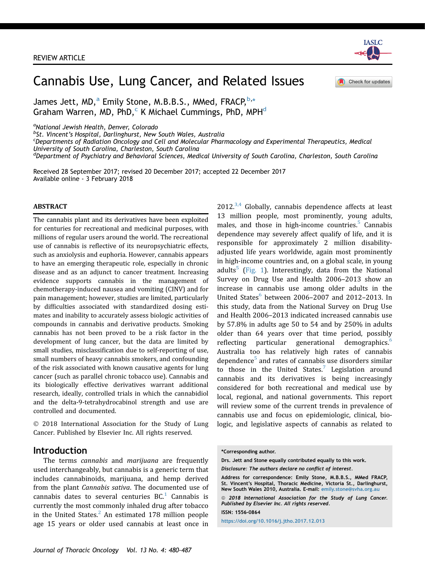

# Cannabis Use, Lung Cancer, and Related Issues

Check for updates

James Jett, MD, $^{\rm a}$  Emily Stone, M.B.B.S., MMed, FRACP, $^{\rm b, \ast}$ Graham Warren, MD, PhD,<sup>c</sup> K Michael Cummings, PhD, MPH<sup>d</sup>

<sup>a</sup>National Jewish Health, Denver, Colorado

b<sub>5t</sub>. Vincent's Hospital, Darlinghurst, New South Wales, Australia<br>SPenartments of Padiation Opcology and Cell and Molecular Phar

 $^{\text{c}}$ Departments of Radiation Oncology and Cell and Molecular Pharmacology and Experimental Therapeutics, Medical University of South Carolina, Charleston, South Carolina

<sup>d</sup>Department of Psychiatry and Behavioral Sciences, Medical University of South Carolina, Charleston, South Carolina

Received 28 September 2017; revised 20 December 2017; accepted 22 December 2017 Available online - 3 February 2018

#### ABSTRACT

The cannabis plant and its derivatives have been exploited for centuries for recreational and medicinal purposes, with millions of regular users around the world. The recreational use of cannabis is reflective of its neuropsychiatric effects, such as anxiolysis and euphoria. However, cannabis appears to have an emerging therapeutic role, especially in chronic disease and as an adjunct to cancer treatment. Increasing evidence supports cannabis in the management of chemotherapy-induced nausea and vomiting (CINV) and for pain management; however, studies are limited, particularly by difficulties associated with standardized dosing estimates and inability to accurately assess biologic activities of compounds in cannabis and derivative products. Smoking cannabis has not been proved to be a risk factor in the development of lung cancer, but the data are limited by small studies, misclassification due to self-reporting of use, small numbers of heavy cannabis smokers, and confounding of the risk associated with known causative agents for lung cancer (such as parallel chronic tobacco use). Cannabis and its biologically effective derivatives warrant additional research, ideally, controlled trials in which the cannabidiol and the delta-9-tetrahydrocabinol strength and use are controlled and documented.

 2018 International Association for the Study of Lung Cancer. Published by Elsevier Inc. All rights reserved.

#### Introduction

The terms cannabis and marijuana are frequently used interchangeably, but cannabis is a generic term that includes cannabinoids, marijuana, and hemp derived from the plant Cannabis sativa. The documented use of cannabis dates to several centuries  $BC<sup>1</sup>$  $BC<sup>1</sup>$  $BC<sup>1</sup>$  Cannabis is currently the most commonly inhaled drug after tobacco in the United States. $<sup>2</sup>$  $<sup>2</sup>$  $<sup>2</sup>$  An estimated 178 million people</sup> age 15 years or older used cannabis at least once in  $2012^{3,4}$  $2012^{3,4}$  $2012^{3,4}$  Globally, cannabis dependence affects at least 13 million people, most prominently, young adults, males, and those in high-income countries. $5$  Cannabis dependence may severely affect qualify of life, and it is responsible for approximately 2 million disabilityadjusted life years worldwide, again most prominently in high-income countries and, on a global scale, in young adults<sup>[5](#page-6-0)</sup> [\(Fig. 1\)](#page-1-0). Interestingly, data from the National Survey on Drug Use and Health 2006–2013 show an increase in cannabis use among older adults in the United States $<sup>6</sup>$  $<sup>6</sup>$  $<sup>6</sup>$  between 2006–2007 and 2012–2013. In</sup> this study, data from the National Survey on Drug Use and Health 2006–2013 indicated increased cannabis use by 57.8% in adults age 50 to 54 and by 250% in adults older than 64 years over that time period, possibly reflecting particular generational demographics.<sup>[6](#page-6-0)</sup> Australia too has relatively high rates of cannabis dependence $5$  and rates of cannabis use disorders similar to those in the United States.<sup>[7](#page-6-0)</sup> Legislation around cannabis and its derivatives is being increasingly considered for both recreational and medical use by local, regional, and national governments. This report will review some of the current trends in prevalence of cannabis use and focus on epidemiologic, clinical, biologic, and legislative aspects of cannabis as related to

Disclosure: The authors declare no conflict of interest.

ISSN: 1556-0864

<https://doi.org/10.1016/j.jtho.2017.12.013>

<sup>\*</sup>Corresponding author.

Drs. Jett and Stone equally contributed equally to this work.

Address for correspondence: Emily Stone, M.B.B.S., MMed FRACP, St. Vincent's Hospital, Thoracic Medicine, Victoria St., Darlinghurst, New South Wales 2010, Australia. E-mail: [emily.stone@svha.org.au](mailto:emily.stone@svha.org.au)

 $@$  2018 International Association for the Study of Lung Cancer. Published by Elsevier Inc. All rights reserved.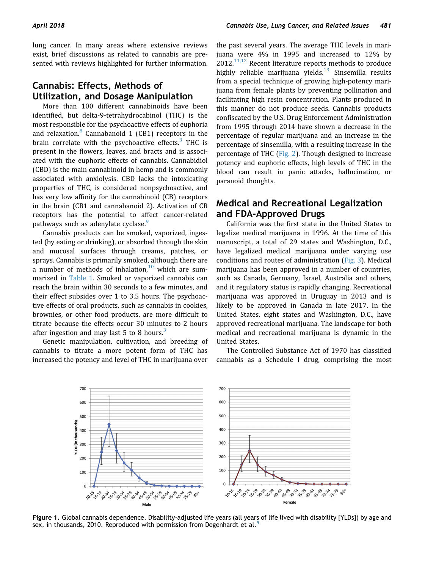<span id="page-1-0"></span>lung cancer. In many areas where extensive reviews exist, brief discussions as related to cannabis are presented with reviews highlighted for further information.

# Cannabis: Effects, Methods of Utilization, and Dosage Manipulation

More than 100 different cannabinoids have been identified, but delta-9-tetrahydrocabinol (THC) is the most responsible for the psychoactive effects of euphoria and relaxation. $8$  Cannabanoid 1 (CB1) receptors in the brain correlate with the psychoactive effects. $3$  THC is present in the flowers, leaves, and bracts and is associated with the euphoric effects of cannabis. Cannabidiol (CBD) is the main cannabinoid in hemp and is commonly associated with anxiolysis. CBD lacks the intoxicating properties of THC, is considered nonpsychoactive, and has very low affinity for the cannabinoid (CB) receptors in the brain (CB1 and cannabanoid 2). Activation of CB receptors has the potential to affect cancer-related pathways such as adenylate cyclase.<sup>[9](#page-6-0)</sup>

Cannabis products can be smoked, vaporized, ingested (by eating or drinking), or absorbed through the skin and mucosal surfaces through creams, patches, or sprays. Cannabis is primarily smoked, although there are a number of methods of inhalation, $10$  which are summarized in [Table 1.](#page-2-0) Smoked or vaporized cannabis can reach the brain within 30 seconds to a few minutes, and their effect subsides over 1 to 3.5 hours. The psychoactive effects of oral products, such as cannabis in cookies, brownies, or other food products, are more difficult to titrate because the effects occur 30 minutes to 2 hours after ingestion and may last 5 to 8 hours.<sup>[3](#page-6-0)</sup>

Genetic manipulation, cultivation, and breeding of cannabis to titrate a more potent form of THC has increased the potency and level of THC in marijuana over the past several years. The average THC levels in marijuana were 4% in 1995 and increased to 12% by  $2012$ <sup>[11,12](#page-6-0)</sup> Recent literature reports methods to produce highly reliable marijuana yields. $13$  Sinsemilla results from a special technique of growing high-potency marijuana from female plants by preventing pollination and facilitating high resin concentration. Plants produced in this manner do not produce seeds. Cannabis products confiscated by the U.S. Drug Enforcement Administration from 1995 through 2014 have shown a decrease in the percentage of regular marijuana and an increase in the percentage of sinsemilla, with a resulting increase in the percentage of THC ([Fig. 2](#page-3-0)). Though designed to increase potency and euphoric effects, high levels of THC in the blood can result in panic attacks, hallucination, or paranoid thoughts.

### Medical and Recreational Legalization and FDA-Approved Drugs

California was the first state in the United States to legalize medical marijuana in 1996. At the time of this manuscript, a total of 29 states and Washington, D.C., have legalized medical marijuana under varying use conditions and routes of administration [\(Fig. 3](#page-3-0)). Medical marijuana has been approved in a number of countries, such as Canada, Germany, Israel, Australia and others, and it regulatory status is rapidly changing. Recreational marijuana was approved in Uruguay in 2013 and is likely to be approved in Canada in late 2017. In the United States, eight states and Washington, D.C., have approved recreational marijuana. The landscape for both medical and recreational marijuana is dynamic in the United States.

The Controlled Substance Act of 1970 has classified cannabis as a Schedule I drug, comprising the most



Figure 1. Global cannabis dependence. Disability-adjusted life years (all years of life lived with disability [YLDs]) by age and sex, in thousands, 2010. Reproduced with permission from Degenhardt et al.<sup>[5](#page-6-0)</sup>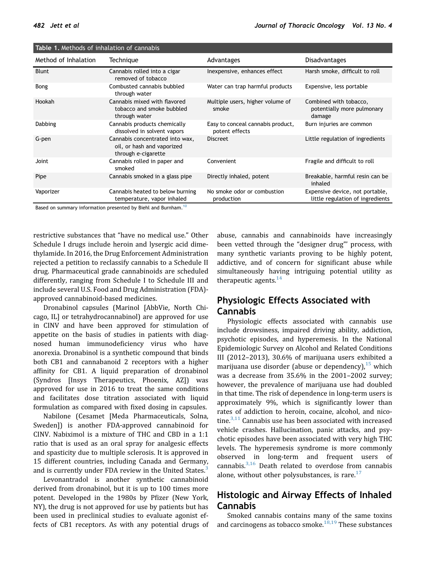| <b>Rable 1.</b> McGlods of Inflatation of Califiable |                                                                                                                                                                                                                                |                                                     |                                                                     |
|------------------------------------------------------|--------------------------------------------------------------------------------------------------------------------------------------------------------------------------------------------------------------------------------|-----------------------------------------------------|---------------------------------------------------------------------|
| Method of Inhalation                                 | Technique                                                                                                                                                                                                                      | Advantages                                          | <b>Disadvantages</b>                                                |
| <b>Blunt</b>                                         | Cannabis rolled into a cigar<br>removed of tobacco                                                                                                                                                                             | Inexpensive, enhances effect                        | Harsh smoke, difficult to roll                                      |
| Bong                                                 | Combusted cannabis bubbled<br>through water                                                                                                                                                                                    | Water can trap harmful products                     | Expensive, less portable                                            |
| Hookah                                               | Cannabis mixed with flavored<br>tobacco and smoke bubbled<br>through water                                                                                                                                                     | Multiple users, higher volume of<br>smoke           | Combined with tobacco,<br>potentially more pulmonary<br>damage      |
| Dabbing                                              | Cannabis products chemically<br>dissolved in solvent vapors                                                                                                                                                                    | Easy to conceal cannabis product,<br>potent effects | Burn injuries are common                                            |
| G-pen                                                | Cannabis concentrated into wax,<br>oil, or hash and vaporized<br>through e-cigarette                                                                                                                                           | <b>Discreet</b>                                     | Little regulation of ingredients                                    |
| Joint                                                | Cannabis rolled in paper and<br>smoked                                                                                                                                                                                         | Convenient                                          | Fragile and difficult to roll                                       |
| Pipe                                                 | Cannabis smoked in a glass pipe                                                                                                                                                                                                | Directly inhaled, potent                            | Breakable, harmful resin can be<br>inhaled                          |
| Vaporizer                                            | Cannabis heated to below burning<br>temperature, vapor inhaled                                                                                                                                                                 | No smoke odor or combustion<br>production           | Expensive device, not portable,<br>little regulation of ingredients |
|                                                      | in the second control of the second control of the second control of the second control of the second control of the second control of the second control of the second control of the second control of the second control of |                                                     |                                                                     |

<span id="page-2-0"></span>Table 1. Methods of inhalation of cannabis

Based on summary information presented by Biehl and Burnham.<sup>[10](#page-6-0)</sup>

restrictive substances that "have no medical use." Other Schedule I drugs include heroin and lysergic acid dimethylamide. In 2016, the Drug Enforcement Administration rejected a petition to reclassify cannabis to a Schedule II drug. Pharmaceutical grade cannabinoids are scheduled differently, ranging from Schedule I to Schedule III and include several U.S. Food and Drug Administration (FDA) approved cannabinoid-based medicines.

Dronabinol capsules (Marinol [AbbVie, North Chicago, IL] or tetrahydrocannabinol) are approved for use in CINV and have been approved for stimulation of appetite on the basis of studies in patients with diagnosed human immunodeficiency virus who have anorexia. Dronabinol is a synthetic compound that binds both CB1 and cannabanoid 2 receptors with a higher affinity for CB1. A liquid preparation of dronabinol (Syndros [Insys Therapeutics, Phoenix, AZ]) was approved for use in 2016 to treat the same conditions and facilitates dose titration associated with liquid formulation as compared with fixed dosing in capsules.

Nabilone (Cesamet [Meda Pharmaceuticals, Solna, Sweden]) is another FDA-approved cannabinoid for CINV. Nabiximol is a mixture of THC and CBD in a 1:1 ratio that is used as an oral spray for analgesic effects and spasticity due to multiple sclerosis. It is approved in 15 different countries, including Canada and Germany, and is currently under FDA review in the United States.<sup>[3](#page-6-0)</sup>

Levonantradol is another synthetic cannabinoid derived from dronabinol, but it is up to 100 times more potent. Developed in the 1980s by Pfizer (New York, NY), the drug is not approved for use by patients but has been used in preclinical studies to evaluate agonist effects of CB1 receptors. As with any potential drugs of abuse, cannabis and cannabinoids have increasingly been vetted through the "designer drug"' process, with many synthetic variants proving to be highly potent, addictive, and of concern for significant abuse while simultaneously having intriguing potential utility as therapeutic agents  $^{14}$ 

# Physiologic Effects Associated with Cannabis

Physiologic effects associated with cannabis use include drowsiness, impaired driving ability, addiction, psychotic episodes, and hyperemesis. In the National Epidemiologic Survey on Alcohol and Related Conditions III (2012–2013), 30.6% of marijuana users exhibited a marijuana use disorder (abuse or dependency),  $15$  which was a decrease from 35.6% in the 2001–2002 survey; however, the prevalence of marijuana use had doubled in that time. The risk of dependence in long-term users is approximately 9%, which is significantly lower than rates of addiction to heroin, cocaine, alcohol, and nicotine. $^{3,11}$  $^{3,11}$  $^{3,11}$  Cannabis use has been associated with increased vehicle crashes. Hallucination, panic attacks, and psychotic episodes have been associated with very high THC levels. The hyperemesis syndrome is more commonly observed in long-term and frequent users of cannabis. $3,16$  Death related to overdose from cannabis alone, without other polysubstances, is rare. $17$ 

# Histologic and Airway Effects of Inhaled Cannabis

Smoked cannabis contains many of the same toxins and carcinogens as tobacco smoke. $18,19$  These substances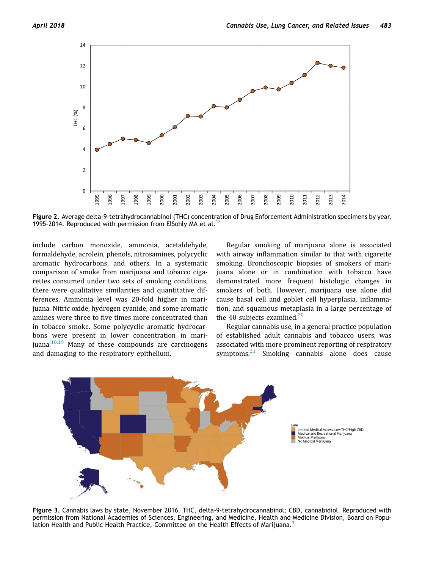<span id="page-3-0"></span>

Figure 2. Average delta-9-tetrahydrocannabinol (THC) concentration of Drug Enforcement Administration specimens by year, 1995-2014. Reproduced with permission from ElSohly MA et al.<sup>1</sup>

include carbon monoxide, ammonia, acetaldehyde, formaldehyde, acrolein, phenols, nitrosamines, polycyclic aromatic hydrocarbons, and others. In a systematic comparison of smoke from marijuana and tobacco cigarettes consumed under two sets of smoking conditions, there were qualitative similarities and quantitative differences. Ammonia level was 20-fold higher in marijuana. Nitric oxide, hydrogen cyanide, and some aromatic amines were three to five times more concentrated than in tobacco smoke. Some polycyclic aromatic hydrocarbons were present in lower concentration in marijuana. $18,19$  Many of these compounds are carcinogens and damaging to the respiratory epithelium.

Regular smoking of marijuana alone is associated with airway inflammation similar to that with cigarette smoking. Bronchoscopic biopsies of smokers of marijuana alone or in combination with tobacco have demonstrated more frequent histologic changes in smokers of both. However, marijuana use alone did cause basal cell and goblet cell hyperplasia, inflammation, and squamous metaplasia in a large percentage of the 40 subjects examined. $20$ 

Regular cannabis use, in a general practice population of established adult cannabis and tobacco users, was associated with more prominent reporting of respiratory symptoms. $21$  Smoking cannabis alone does cause



Figure 3. Cannabis laws by state, November 2016. THC, delta-9-tetrahydrocannabinol; CBD, cannabidiol. Reproduced with permission from National Academies of Sciences, Engineering, and Medicine, Health and Medicine Division, Board on Popu-lation Health and Public Health Practice, Committee on the Health Effects of Marijuana.<sup>[3](#page-6-0)</sup>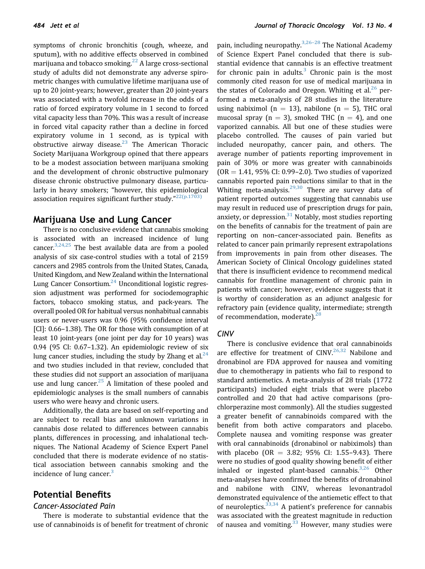symptoms of chronic bronchitis (cough, wheeze, and sputum), with no additive effects observed in combined marijuana and tobacco smoking.<sup>[22](#page-6-0)</sup> A large cross-sectional study of adults did not demonstrate any adverse spirometric changes with cumulative lifetime marijuana use of up to 20 joint-years; however, greater than 20 joint-years was associated with a twofold increase in the odds of a ratio of forced expiratory volume in 1 second to forced vital capacity less than 70%. This was a result of increase in forced vital capacity rather than a decline in forced expiratory volume in 1 second, as is typical with obstructive airway disease. $23$  The American Thoracic Society Marijuana Workgroup opined that there appears to be a modest association between marijuana smoking and the development of chronic obstructive pulmonary disease chronic obstructive pulmonary disease, particularly in heavy smokers; "however, this epidemiological association requires significant further study." $^{22(p.1703)}$  $^{22(p.1703)}$  $^{22(p.1703)}$ 

### Marijuana Use and Lung Cancer

There is no conclusive evidence that cannabis smoking is associated with an increased incidence of lung cancer.<sup>3,24,25</sup> The best available data are from a pooled analysis of six case-control studies with a total of 2159 cancers and 2985 controls from the United States, Canada, United Kingdom, and New Zealand within the International Lung Cancer Consortium.<sup>24</sup> Unconditional logistic regression adjustment was performed for sociodemographic factors, tobacco smoking status, and pack-years. The overall pooled OR for habitual versus nonhabitual cannabis users or never-users was 0.96 (95% confidence interval [CI]: 0.66–1.38). The OR for those with consumption of at least 10 joint-years (one joint per day for 10 years) was 0.94 (95 CI: 0.67–1.32). An epidemiologic review of six lung cancer studies, including the study by Zhang et al. $^{24}$  $^{24}$  $^{24}$ and two studies included in that review, concluded that these studies did not support an association of marijuana use and lung cancer.<sup>[25](#page-6-0)</sup> A limitation of these pooled and epidemiologic analyses is the small numbers of cannabis users who were heavy and chronic users.

Additionally, the data are based on self-reporting and are subject to recall bias and unknown variations in cannabis dose related to differences between cannabis plants, differences in processing, and inhalational techniques. The National Academy of Science Expert Panel concluded that there is moderate evidence of no statistical association between cannabis smoking and the incidence of lung cancer. $3$ 

### Potential Benefits

#### Cancer-Associated Pain

There is moderate to substantial evidence that the use of cannabinoids is of benefit for treatment of chronic

pain, including neuropathy.<sup>[3,26](#page-6-0)–28</sup> The National Academy of Science Expert Panel concluded that there is substantial evidence that cannabis is an effective treatment for chronic pain in adults. $3$  Chronic pain is the most commonly cited reason for use of medical marijuana in the states of Colorado and Oregon. Whiting et al. $^{26}$  $^{26}$  $^{26}$  performed a meta-analysis of 28 studies in the literature using nabiximol ( $n = 13$ ), nabilone ( $n = 5$ ), THC oral mucosal spray ( $n = 3$ ), smoked THC ( $n = 4$ ), and one vaporized cannabis. All but one of these studies were placebo controlled. The causes of pain varied but included neuropathy, cancer pain, and others. The average number of patients reporting improvement in pain of 30% or more was greater with cannabinoids  $(OR = 1.41, 95\% \text{ CI: } 0.99 - 2.0)$ . Two studies of vaporized cannabis reported pain reductions similar to that in the Whiting meta-analysis.<sup>[29,30](#page-7-0)</sup> There are survey data of patient reported outcomes suggesting that cannabis use may result in reduced use of prescription drugs for pain, anxiety, or depression. $31$  Notably, most studies reporting on the benefits of cannabis for the treatment of pain are reporting on non–cancer-associated pain. Benefits as related to cancer pain primarily represent extrapolations from improvements in pain from other diseases. The American Society of Clinical Oncology guidelines stated that there is insufficient evidence to recommend medical cannabis for frontline management of chronic pain in patients with cancer; however, evidence suggests that it is worthy of consideration as an adjunct analgesic for refractory pain (evidence quality, intermediate; strength of recommendation, moderate).<sup>[28](#page-6-0)</sup>

### CINV

There is conclusive evidence that oral cannabinoids are effective for treatment of  $CINV<sup>26,32</sup>$  $CINV<sup>26,32</sup>$  $CINV<sup>26,32</sup>$  Nabilone and dronabinol are FDA approved for nausea and vomiting due to chemotherapy in patients who fail to respond to standard antiemetics. A meta-analysis of 28 trials (1772 participants) included eight trials that were placebo controlled and 20 that had active comparisons (prochlorperazine most commonly). All the studies suggested a greater benefit of cannabinoids compared with the benefit from both active comparators and placebo. Complete nausea and vomiting response was greater with oral cannabinoids (dronabinol or nabiximols) than with placebo (OR = 3.82; 95% CI: 1.55–9.43). There were no studies of good quality showing benefit of either inhaled or ingested plant-based cannabis. $3,26$  Other meta-analyses have confirmed the benefits of dronabinol and nabilone with CINV, whereas levonantradol demonstrated equivalence of the antiemetic effect to that of neuroleptics.  $33,34$  A patient's preference for cannabis was associated with the greatest magnitude in reduction of nausea and vomiting. $33$  However, many studies were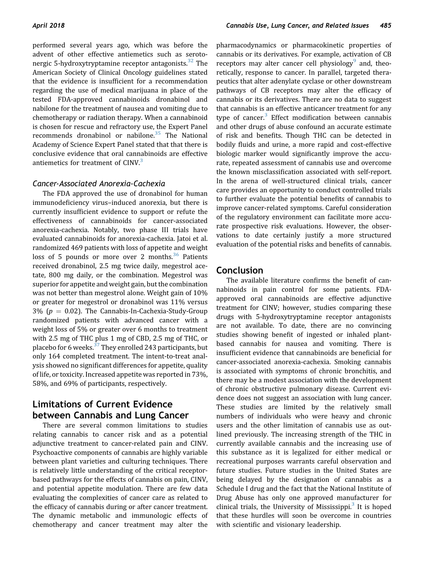performed several years ago, which was before the advent of other effective antiemetics such as seroto-nergic 5-hydroxytryptamine receptor antagonists.<sup>[32](#page-7-0)</sup> The American Society of Clinical Oncology guidelines stated that the evidence is insufficient for a recommendation regarding the use of medical marijuana in place of the tested FDA-approved cannabinoids dronabinol and nabilone for the treatment of nausea and vomiting due to chemotherapy or radiation therapy. When a cannabinoid is chosen for rescue and refractory use, the Expert Panel recommends dronabinol or nabilone.<sup>35</sup> The National Academy of Science Expert Panel stated that that there is conclusive evidence that oral cannabinoids are effective antiemetics for treatment of CINV.<sup>[3](#page-6-0)</sup>

### Cancer-Associated Anorexia-Cachexia

The FDA approved the use of dronabinol for human immunodeficiency virus–induced anorexia, but there is currently insufficient evidence to support or refute the effectiveness of cannabinoids for cancer-associated anorexia-cachexia. Notably, two phase III trials have evaluated cannabinoids for anorexia-cachexia. Jatoi et al. randomized 469 patients with loss of appetite and weight loss of 5 pounds or more over 2 months.<sup>[36](#page-7-0)</sup> Patients received dronabinol, 2.5 mg twice daily, megestrol acetate, 800 mg daily, or the combination. Megestrol was superior for appetite and weight gain, but the combination was not better than megestrol alone. Weight gain of 10% or greater for megestrol or dronabinol was 11% versus 3% ( $p = 0.02$ ). The Cannabis-In-Cachexia-Study-Group randomized patients with advanced cancer with a weight loss of 5% or greater over 6 months to treatment with 2.5 mg of THC plus 1 mg of CBD, 2.5 mg of THC, or placebo for 6 weeks.<sup>37</sup> They enrolled 243 participants, but only 164 completed treatment. The intent-to-treat analysis showed no significant differences for appetite, quality of life, or toxicity. Increased appetite was reported in 73%, 58%, and 69% of participants, respectively.

## Limitations of Current Evidence between Cannabis and Lung Cancer

There are several common limitations to studies relating cannabis to cancer risk and as a potential adjunctive treatment to cancer-related pain and CINV. Psychoactive components of cannabis are highly variable between plant varieties and culturing techniques. There is relatively little understanding of the critical receptorbased pathways for the effects of cannabis on pain, CINV, and potential appetite modulation. There are few data evaluating the complexities of cancer care as related to the efficacy of cannabis during or after cancer treatment. The dynamic metabolic and immunologic effects of chemotherapy and cancer treatment may alter the pharmacodynamics or pharmacokinetic properties of cannabis or its derivatives. For example, activation of CB receptors may alter cancer cell physiology $9$  and, theoretically, response to cancer. In parallel, targeted therapeutics that alter adenylate cyclase or other downstream pathways of CB receptors may alter the efficacy of cannabis or its derivatives. There are no data to suggest that cannabis is an effective anticancer treatment for any type of cancer.<sup>[3](#page-6-0)</sup> Effect modification between cannabis and other drugs of abuse confound an accurate estimate of risk and benefits. Though THC can be detected in bodily fluids and urine, a more rapid and cost-effective biologic marker would significantly improve the accurate, repeated assessment of cannabis use and overcome the known misclassification associated with self-report. In the arena of well-structured clinical trials, cancer care provides an opportunity to conduct controlled trials to further evaluate the potential benefits of cannabis to improve cancer-related symptoms. Careful consideration of the regulatory environment can facilitate more accurate prospective risk evaluations. However, the observations to date certainly justify a more structured evaluation of the potential risks and benefits of cannabis.

### Conclusion

The available literature confirms the benefit of cannabinoids in pain control for some patients. FDAapproved oral cannabinoids are effective adjunctive treatment for CINV; however, studies comparing these drugs with 5-hydroxytryptamine receptor antagonists are not available. To date, there are no convincing studies showing benefit of ingested or inhaled plantbased cannabis for nausea and vomiting. There is insufficient evidence that cannabinoids are beneficial for cancer-associated anorexia-cachexia. Smoking cannabis is associated with symptoms of chronic bronchitis, and there may be a modest association with the development of chronic obstructive pulmonary disease. Current evidence does not suggest an association with lung cancer. These studies are limited by the relatively small numbers of individuals who were heavy and chronic users and the other limitation of cannabis use as outlined previously. The increasing strength of the THC in currently available cannabis and the increasing use of this substance as it is legalized for either medical or recreational purposes warrants careful observation and future studies. Future studies in the United States are being delayed by the designation of cannabis as a Schedule I drug and the fact that the National Institute of Drug Abuse has only one approved manufacturer for clinical trials, the University of Mississippi.<sup>[3](#page-6-0)</sup> It is hoped that these hurdles will soon be overcome in countries with scientific and visionary leadership.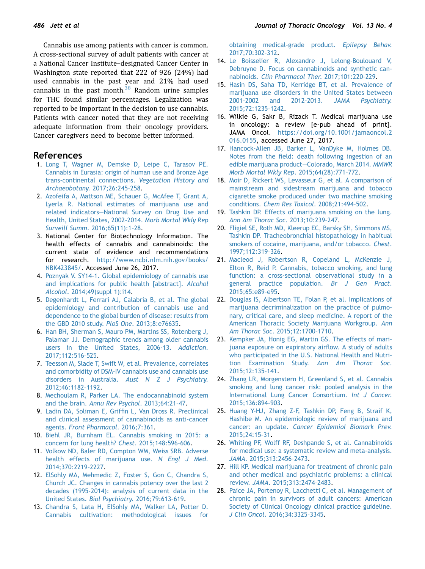<span id="page-6-0"></span>Cannabis use among patients with cancer is common. A cross-sectional survey of adult patients with cancer at a National Cancer Institute–designated Cancer Center in Washington state reported that 222 of 926 (24%) had used cannabis in the past year and 21% had used cannabis in the past month. $38$  Random urine samples for THC found similar percentages. Legalization was reported to be important in the decision to use cannabis. Patients with cancer noted that they are not receiving adequate information from their oncology providers. Cancer caregivers need to become better informed.

#### References

- 1. [Long T, Wagner M, Demske D, Leipe C, Tarasov PE.](http://refhub.elsevier.com/S1556-0864(18)30038-8/sref1) [Cannabis in Eurasia: origin of human use and Bronze Age](http://refhub.elsevier.com/S1556-0864(18)30038-8/sref1) [trans-continental connections.](http://refhub.elsevier.com/S1556-0864(18)30038-8/sref1) Vegetation History and [Archaeobotany](http://refhub.elsevier.com/S1556-0864(18)30038-8/sref1). 2017;26:245–258.
- 2. [Azofeifa A, Mattson ME, Schauer G, McAfee T, Grant A,](http://refhub.elsevier.com/S1556-0864(18)30038-8/sref2) [Lyerla R. National estimates of marijuana use and](http://refhub.elsevier.com/S1556-0864(18)30038-8/sref2) related indicators—[National Survey on Drug Use and](http://refhub.elsevier.com/S1556-0864(18)30038-8/sref2) [Health, United States, 2002-2014.](http://refhub.elsevier.com/S1556-0864(18)30038-8/sref2) Morb Mortal Wkly Rep Surveill Summ[. 2016;65\(11\):1](http://refhub.elsevier.com/S1556-0864(18)30038-8/sref2)–28.
- 3. National Center for Biotechnology Information. The health effects of cannabis and cannabinoids: the current state of evidence and recommendations for research. [http://www.ncbi.nlm.nih.gov/books/](http://www.ncbi.nlm.nih.gov/books/NBK423845/) [NBK423845/](http://www.ncbi.nlm.nih.gov/books/NBK423845/). Accessed June 26, 2017.
- 4. [Poznyak V. SY14-1. Global epidemiology of cannabis use](http://refhub.elsevier.com/S1556-0864(18)30038-8/sref4) [and implications for public health \[abstract\].](http://refhub.elsevier.com/S1556-0864(18)30038-8/sref4) Alcohol Alcohol[. 2014;49\(suppl 1\):i14](http://refhub.elsevier.com/S1556-0864(18)30038-8/sref4).
- 5. [Degenhardt L, Ferrari AJ, Calabria B, et al. The global](http://refhub.elsevier.com/S1556-0864(18)30038-8/sref5) [epidemiology and contribution of cannabis use and](http://refhub.elsevier.com/S1556-0864(18)30038-8/sref5) [dependence to the global burden of disease: results from](http://refhub.elsevier.com/S1556-0864(18)30038-8/sref5) [the GBD 2010 study.](http://refhub.elsevier.com/S1556-0864(18)30038-8/sref5) PloS One. 2013;8:e76635.
- 6. [Han BH, Sherman S, Mauro PM, Martins SS, Rotenberg J,](http://refhub.elsevier.com/S1556-0864(18)30038-8/sref6) [Palamar JJ. Demographic trends among older cannabis](http://refhub.elsevier.com/S1556-0864(18)30038-8/sref6) [users in the United States, 2006-13.](http://refhub.elsevier.com/S1556-0864(18)30038-8/sref6) Addiction. [2017;112:516](http://refhub.elsevier.com/S1556-0864(18)30038-8/sref6)–525.
- 7. [Teesson M, Slade T, Swift W, et al. Prevalence, correlates](http://refhub.elsevier.com/S1556-0864(18)30038-8/sref7) [and comorbidity of DSM-IV cannabis use and cannabis use](http://refhub.elsevier.com/S1556-0864(18)30038-8/sref7) disorders in Australia. [Aust N Z J Psychiatry](http://refhub.elsevier.com/S1556-0864(18)30038-8/sref7). [2012;46:1182](http://refhub.elsevier.com/S1556-0864(18)30038-8/sref7)–1192.
- 8. [Mechoulam R, Parker LA. The endocannabinoid system](http://refhub.elsevier.com/S1556-0864(18)30038-8/sref8) and the brain. [Annu Rev Psychol](http://refhub.elsevier.com/S1556-0864(18)30038-8/sref8). 2013;64:21–47.
- 9. Ladin DA, Soliman E, Griffi[n L, Van Dross R. Preclinical](http://refhub.elsevier.com/S1556-0864(18)30038-8/sref9) [and clinical assessment of cannabinoids as anti-cancer](http://refhub.elsevier.com/S1556-0864(18)30038-8/sref9) agents. [Front Pharmacol](http://refhub.elsevier.com/S1556-0864(18)30038-8/sref9). 2016;7:361.
- 10. [Biehl JR, Burnham EL. Cannabis smoking in 2015: a](http://refhub.elsevier.com/S1556-0864(18)30038-8/sref10) [concern for lung health?](http://refhub.elsevier.com/S1556-0864(18)30038-8/sref10) Chest. 2015;148:596–606.
- 11. [Volkow ND, Baler RD, Compton WM, Weiss SRB. Adverse](http://refhub.elsevier.com/S1556-0864(18)30038-8/sref11) [health effects of marijuana use.](http://refhub.elsevier.com/S1556-0864(18)30038-8/sref11) N Engl J Med. [2014;370:2219](http://refhub.elsevier.com/S1556-0864(18)30038-8/sref11)–2227.
- 12. [ElSohly MA, Mehmedic Z, Foster S, Gon C, Chandra S,](http://refhub.elsevier.com/S1556-0864(18)30038-8/sref12) [Church JC. Changes in cannabis potency over the last 2](http://refhub.elsevier.com/S1556-0864(18)30038-8/sref12) [decades \(1995-2014\): analysis of current data in the](http://refhub.elsevier.com/S1556-0864(18)30038-8/sref12) United States. [Biol Psychiatry](http://refhub.elsevier.com/S1556-0864(18)30038-8/sref12). 2016;79:613–619.
- 13. [Chandra S, Lata H, ElSohly MA, Walker LA, Potter D.](http://refhub.elsevier.com/S1556-0864(18)30038-8/sref13) [Cannabis cultivation: methodological issues for](http://refhub.elsevier.com/S1556-0864(18)30038-8/sref13)

[obtaining medical-grade product.](http://refhub.elsevier.com/S1556-0864(18)30038-8/sref13) Epilepsy Behav. [2017;70:302](http://refhub.elsevier.com/S1556-0864(18)30038-8/sref13)–312.

- 14. [Le Boisselier R, Alexandre J, Lelong-Boulouard V,](http://refhub.elsevier.com/S1556-0864(18)30038-8/sref14) [Debruyne D. Focus on cannabinoids and synthetic can](http://refhub.elsevier.com/S1556-0864(18)30038-8/sref14)nabinoids. [Clin Pharmacol Ther](http://refhub.elsevier.com/S1556-0864(18)30038-8/sref14). 2017;101:220–229.
- 15. [Hasin DS, Saha TD, Kerridge BT, et al. Prevalence of](http://refhub.elsevier.com/S1556-0864(18)30038-8/sref15) [marijuana use disorders in the United States between](http://refhub.elsevier.com/S1556-0864(18)30038-8/sref15) [2001-2002 and 2012-2013.](http://refhub.elsevier.com/S1556-0864(18)30038-8/sref15) JAMA Psychiatry. [2015;72:1235](http://refhub.elsevier.com/S1556-0864(18)30038-8/sref15)–1242.
- 16. Wilkie G, Sakr B, Rizack T. Medical marijuana use in oncology: a review [e-pub ahead of print]. JAMA Oncol. [https://doi.org/10.1001/jamaoncol.2](https://doi.org/10.1001/jamaoncol.2016.0155) [016.0155](https://doi.org/10.1001/jamaoncol.2016.0155), accessed June 27, 2017.
- 17. [Hancock-Allen JB, Barker L, VanDyke M, Holmes DB.](http://refhub.elsevier.com/S1556-0864(18)30038-8/sref17) Notes from the fi[eld: death following ingestion of an](http://refhub.elsevier.com/S1556-0864(18)30038-8/sref17) [edible marijuana product](http://refhub.elsevier.com/S1556-0864(18)30038-8/sref17)—Colorado, March 2014. MMWR [Morb Mortal Wkly Rep](http://refhub.elsevier.com/S1556-0864(18)30038-8/sref17). 2015;64(28):771–772.
- 18. [Moir D, Rickert WS, Levasseur G, et al. A comparison of](http://refhub.elsevier.com/S1556-0864(18)30038-8/sref18) [mainstream and sidestream marijuana and tobacco](http://refhub.elsevier.com/S1556-0864(18)30038-8/sref18) [cigarette smoke produced under two machine smoking](http://refhub.elsevier.com/S1556-0864(18)30038-8/sref18) conditions. [Chem Res Toxicol](http://refhub.elsevier.com/S1556-0864(18)30038-8/sref18). 2008;21:494–502.
- 19. [Tashkin DP. Effects of marijuana smoking on the lung.](http://refhub.elsevier.com/S1556-0864(18)30038-8/sref19) [Ann Am Thorac Soc](http://refhub.elsevier.com/S1556-0864(18)30038-8/sref19). 2013;10:239–247.
- 20. [Fligiel SE, Roth MD, Kleerup EC, Barsky SH, Simmons MS,](http://refhub.elsevier.com/S1556-0864(18)30038-8/sref20) [Tashkin DP. Tracheobronchial histopathology in habitual](http://refhub.elsevier.com/S1556-0864(18)30038-8/sref20) [smokers of cocaine, marijuana, and/or tobacco.](http://refhub.elsevier.com/S1556-0864(18)30038-8/sref20) Chest. [1997;112:319](http://refhub.elsevier.com/S1556-0864(18)30038-8/sref20)–326.
- 21. [Macleod J, Robertson R, Copeland L, McKenzie J,](http://refhub.elsevier.com/S1556-0864(18)30038-8/sref21) [Elton R, Reid P. Cannabis, tobacco smoking, and lung](http://refhub.elsevier.com/S1556-0864(18)30038-8/sref21) [function: a cross-sectional observational study in a](http://refhub.elsevier.com/S1556-0864(18)30038-8/sref21) [general practice population.](http://refhub.elsevier.com/S1556-0864(18)30038-8/sref21) Br J Gen Pract. [2015;65:e89](http://refhub.elsevier.com/S1556-0864(18)30038-8/sref21)–e95.
- 22. [Douglas IS, Albertson TE, Folan P, et al. Implications of](http://refhub.elsevier.com/S1556-0864(18)30038-8/sref22) [marijuana decriminalization on the practice of pulmo](http://refhub.elsevier.com/S1556-0864(18)30038-8/sref22)[nary, critical care, and sleep medicine. A report of the](http://refhub.elsevier.com/S1556-0864(18)30038-8/sref22) [American Thoracic Society Marijuana Workgroup.](http://refhub.elsevier.com/S1556-0864(18)30038-8/sref22) Ann Am Thorac Soc[. 2015;12:1700](http://refhub.elsevier.com/S1556-0864(18)30038-8/sref22)–1710.
- 23. [Kempker JA, Honig EG, Martin GS. The effects of mari](http://refhub.elsevier.com/S1556-0864(18)30038-8/sref23)[juana exposure on expiratory air](http://refhub.elsevier.com/S1556-0864(18)30038-8/sref23)flow. A study of adults [who participated in the U.S. National Health and Nutri](http://refhub.elsevier.com/S1556-0864(18)30038-8/sref23)[tion Examination Study.](http://refhub.elsevier.com/S1556-0864(18)30038-8/sref23) Ann Am Thorac Soc. [2015;12:135](http://refhub.elsevier.com/S1556-0864(18)30038-8/sref23)–141.
- 24. [Zhang LR, Morgenstern H, Greenland S, et al. Cannabis](http://refhub.elsevier.com/S1556-0864(18)30038-8/sref24) [smoking and lung cancer risk: pooled analysis in the](http://refhub.elsevier.com/S1556-0864(18)30038-8/sref24) [International Lung Cancer Consortium.](http://refhub.elsevier.com/S1556-0864(18)30038-8/sref24) Int J Cancer. [2015;136:894](http://refhub.elsevier.com/S1556-0864(18)30038-8/sref24)–903.
- 25. [Huang Y-HJ, Zhang Z-F, Tashkin DP, Feng B, Straif K,](http://refhub.elsevier.com/S1556-0864(18)30038-8/sref25) [Hashibe M. An epidemiologic review of marijuana and](http://refhub.elsevier.com/S1556-0864(18)30038-8/sref25) cancer: an update. [Cancer Epidemiol Biomark Prev](http://refhub.elsevier.com/S1556-0864(18)30038-8/sref25). [2015;24:15](http://refhub.elsevier.com/S1556-0864(18)30038-8/sref25)–31.
- 26. [Whiting PF, Wolff RF, Deshpande S, et al. Cannabinoids](http://refhub.elsevier.com/S1556-0864(18)30038-8/sref26) [for medical use: a systematic review and meta-analysis.](http://refhub.elsevier.com/S1556-0864(18)30038-8/sref26) JAMA[. 2015;313:2456](http://refhub.elsevier.com/S1556-0864(18)30038-8/sref26)–2473.
- 27. [Hill KP. Medical marijuana for treatment of chronic pain](http://refhub.elsevier.com/S1556-0864(18)30038-8/sref27) [and other medical and psychiatric problems: a clinical](http://refhub.elsevier.com/S1556-0864(18)30038-8/sref27) review. JAMA[. 2015;313:2474](http://refhub.elsevier.com/S1556-0864(18)30038-8/sref27)–2483.
- 28. [Paice JA, Portenoy R, Lacchetti C, et al. Management of](http://refhub.elsevier.com/S1556-0864(18)30038-8/sref28) [chronic pain in survivors of adult cancers: American](http://refhub.elsevier.com/S1556-0864(18)30038-8/sref28) [Society of Clinical Oncology clinical practice guideline.](http://refhub.elsevier.com/S1556-0864(18)30038-8/sref28) J Clin Oncol[. 2016;34:3325](http://refhub.elsevier.com/S1556-0864(18)30038-8/sref28)–3345.